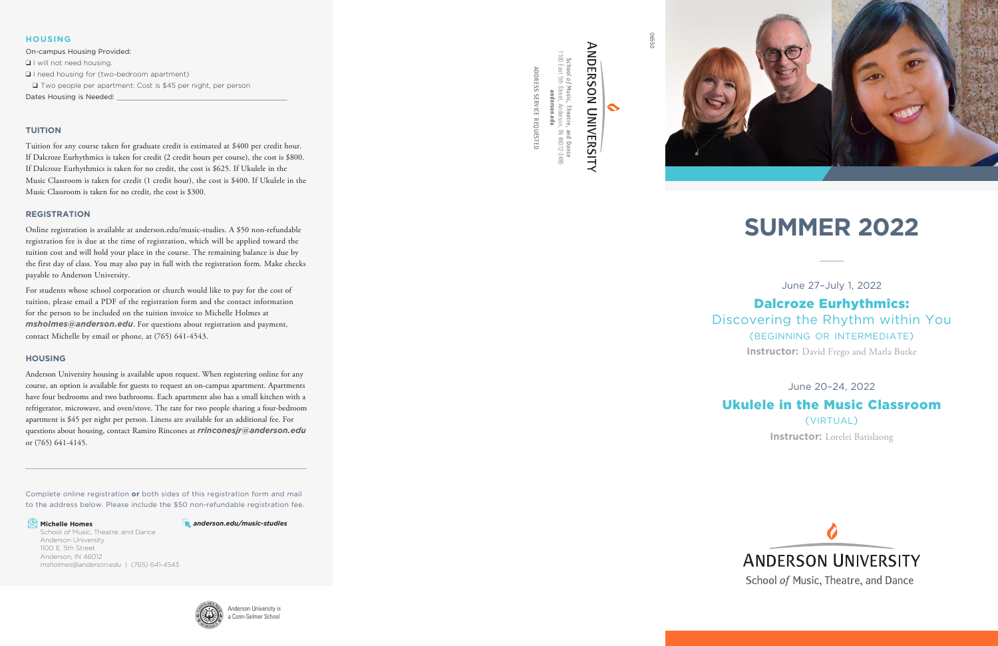06550





 $\ddot{\sim}$ 

1100 East 5th Street, Anderson, IN 46012-3495 **anderson.edu**

### Dalcroze Eurhythmics: Discovering the Rhythm within You (beginning or intermediate) **Instructor:** David Frego and Marla Butke

ADDRESS SERVICE REQUESTED

ADDRESS SERVICE REQUESTED

June 27–July 1, 2022

### June 20–24, 2022

### Ukulele in the Music Classroom (virtual)

**Instructor:** Lorelei Batislaong



## **ANDERSON UNIVERSITY**

School of Music, Theatre, and Dance

### **TUITION**

Tuition for any course taken for graduate credit is estimated at \$400 per credit hour. If Dalcroze Eurhythmics is taken for credit (2 credit hours per course), the cost is \$800. If Dalcroze Eurhythmics is taken for no credit, the cost is \$625. If Ukulele in the Music Classroom is taken for credit (1 credit hour), the cost is \$400. If Ukulele in the Music Classroom is taken for no credit, the cost is \$300.

#### **REGISTRATION**

Online registration is available at anderson.edu/music-studies. A \$50 non-refundable registration fee is due at the time of registration, which will be applied toward the tuition cost and will hold your place in the course. The remaining balance is due by the first day of class. You may also pay in full with the registration form. Make checks payable to Anderson University.

On-campus Housing Provided: **Q** I will not need housing.  $\Box$  I need housing for (two-bedroom apartment) □ Two people per apartment: Cost is \$45 per night, per person Dates Housing is Needed:

For students whose school corporation or church would like to pay for the cost of tuition, please email a PDF of the registration form and the contact information for the person to be included on the tuition invoice to Michelle Holmes at *msholmes@anderson.edu*. For questions about registration and payment, contact Michelle by email or phone, at (765) 641-4543.

#### **HOUSING**

Anderson University housing is available upon request. When registering online for any course, an option is available for guests to request an on-campus apartment. Apartments have four bedrooms and two bathrooms. Each apartment also has a small kitchen with a refrigerator, microwave, and oven/stove. The rate for two people sharing a four-bedroom apartment is \$45 per night per person. Linens are available for an additional fee. For questions about housing, contact Ramiro Rincones at *rrinconesjr@anderson.edu* or (765) 641-4145.

### **HOUSING**

# **SUMMER 2022**

Complete online registration **or** both sides of this registration form and mail to the address below. Please include the \$50 non-refundable registration fee.

#### **E** Michelle Homes

School of Music, Theatre, and Dance Anderson University 1100 E. 5th Street Anderson, IN 46012 *msholmes@anderson.edu* | (765) 641-4543